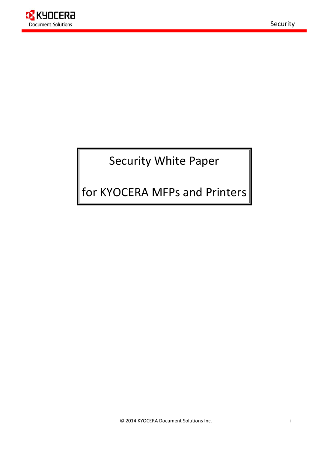

# Security White Paper

# for KYOCERA MFPs and Printers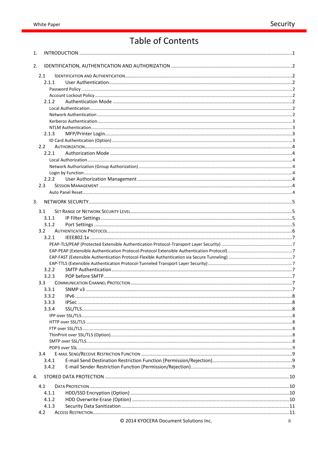# **Table of Contents**

| 1. |                  |                                        |      |
|----|------------------|----------------------------------------|------|
| 2. |                  |                                        |      |
|    | 2.1              |                                        |      |
|    | 2.1.1            |                                        |      |
|    |                  |                                        |      |
|    |                  |                                        |      |
|    | 2.1.2            |                                        |      |
|    |                  |                                        |      |
|    |                  |                                        |      |
|    |                  |                                        |      |
|    |                  |                                        |      |
|    | 2.1.3            |                                        |      |
|    |                  |                                        |      |
|    | 2.2              |                                        |      |
|    | 2.2.1            |                                        |      |
|    |                  |                                        |      |
|    |                  |                                        |      |
|    |                  |                                        |      |
|    | 2.2.2            |                                        |      |
|    | 2.3              |                                        |      |
|    |                  |                                        |      |
| 3. |                  |                                        |      |
|    | 3.1              |                                        |      |
|    | 3.1.1            |                                        |      |
|    | 3.1.2            |                                        |      |
|    | 3.2              |                                        |      |
|    | 3.2.1            |                                        |      |
|    |                  |                                        |      |
|    |                  |                                        |      |
|    |                  |                                        |      |
|    |                  |                                        |      |
|    | 3.2.2            |                                        |      |
|    | 3.2.3            |                                        |      |
|    | 3.3 <sub>1</sub> |                                        |      |
|    | 3.3.1            |                                        |      |
|    | 3.3.2            |                                        |      |
|    | 3.3.3            |                                        |      |
|    | 3.3.4            |                                        |      |
|    |                  |                                        |      |
|    |                  |                                        |      |
|    |                  |                                        |      |
|    |                  |                                        |      |
|    |                  |                                        |      |
|    | 3.4              |                                        |      |
|    | 3.4.1            |                                        |      |
|    | 3.4.2            |                                        |      |
| 4. |                  |                                        |      |
|    | 4.1              |                                        |      |
|    | 4.1.1            |                                        |      |
|    | 4.1.2            |                                        |      |
|    | 4.1.3            |                                        |      |
|    | 4.2              |                                        |      |
|    |                  | © 2014 KYOCERA Document Solutions Inc. | ii – |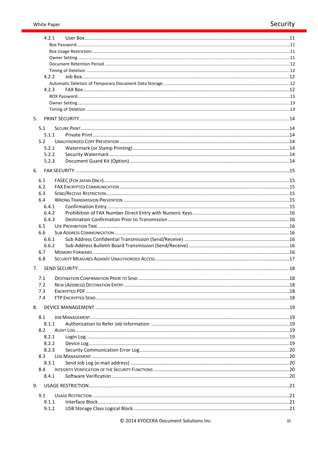| 4.2.1          |  |
|----------------|--|
|                |  |
|                |  |
|                |  |
|                |  |
|                |  |
| 4.2.2          |  |
|                |  |
| 4.2.3          |  |
|                |  |
|                |  |
| 5.             |  |
| 5.1            |  |
| 5.1.1          |  |
| 5.2            |  |
| 5.2.1          |  |
| 5.2.2          |  |
| 5.2.3          |  |
| 6.             |  |
|                |  |
| 6.1            |  |
| 6.2            |  |
| 6.3            |  |
| 6.4            |  |
| 6.4.1<br>6.4.2 |  |
| 6.4.3          |  |
| 6.5            |  |
| 6.6            |  |
| 6.6.1          |  |
| 6.6.2          |  |
| 6.7            |  |
| 6.8            |  |
| 7.             |  |
|                |  |
| 7.1            |  |
| 7.2            |  |
| 7.3<br>7.4     |  |
|                |  |
| 8.             |  |
| 8.1            |  |
| 8.1.1          |  |
| 8.2            |  |
| 8.2.1          |  |
| 8.2.2          |  |
| 8.2.3          |  |
| 8.3            |  |
| 8.3.1          |  |
| 8.4            |  |
| 8.4.1          |  |
| 9.             |  |
| 9.1            |  |
| 9.1.1          |  |
| 9.1.2          |  |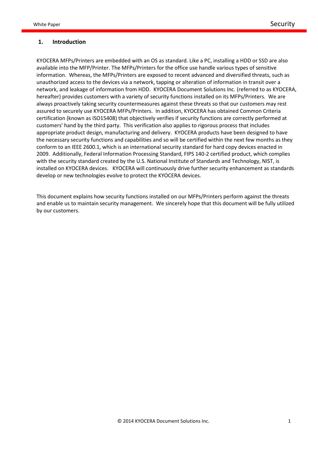#### **1. Introduction**

KYOCERA MFPs/Printers are embedded with an OS as standard. Like a PC, installing a HDD or SSD are also available into the MFP/Printer. The MFPs/Printers for the office use handle various types of sensitive information. Whereas, the MFPs/Printers are exposed to recent advanced and diversified threats, such as unauthorized access to the devices via a network, tapping or alteration of information in transit over a network, and leakage of information from HDD. KYOCERA Document Solutions Inc. (referred to as KYOCERA, hereafter) provides customers with a variety of security functions installed on its MFPs/Printers. We are always proactively taking security countermeasures against these threats so that our customers may rest assured to securely use KYOCERA MFPs/Printers. In addition, KYOCERA has obtained Common Criteria certification (known as ISO15408) that objectively verifies if security functions are correctly performed at customers' hand by the third party. This verification also applies to rigorous process that includes appropriate product design, manufacturing and delivery. KYOCERA products have been designed to have the necessary security functions and capabilities and so will be certified within the next few months as they conform to an IEEE 2600.1, which is an international security standard for hard copy devices enacted in 2009. Additionally, Federal Information Processing Standard, FIPS 140-2 certified product, which complies with the security standard created by the U.S. National Institute of Standards and Technology, NIST, is installed on KYOCERA devices. KYOCERA will continuously drive further security enhancement as standards develop or new technologies evolve to protect the KYOCERA devices.

This document explains how security functions installed on our MFPs/Printers perform against the threats and enable us to maintain security management. We sincerely hope that this document will be fully utilized by our customers.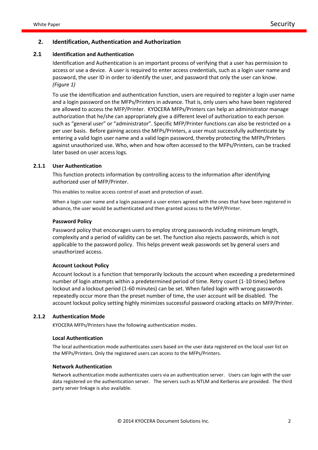#### **2. Identification, Authentication and Authorization**

#### **2.1 Identification and Authentication**

Identification and Authentication is an important process of verifying that a user has permission to access or use a device. A user is required to enter access credentials, such as a login user name and password, the user ID in order to identify the user, and password that only the user can know. *(Figure 1)*

To use the identification and authentication function, users are required to register a login user name and a login password on the MFPs/Printers in advance. That is, only users who have been registered are allowed to access the MFP/Printer. KYOCERA MFPs/Printers can help an administrator manage authorization that he/she can appropriately give a different level of authorization to each person such as "general user" or "administrator". Specific MFP/Printer functions can also be restricted on a per user basis. Before gaining access the MFPs/Printers, a user must successfully authenticate by entering a valid login user name and a valid login password, thereby protecting the MFPs/Printers against unauthorized use. Who, when and how often accessed to the MFPs/Printers, can be tracked later based on user access logs.

#### **2.1.1 User Authentication**

This function protects information by controlling access to the information after identifying authorized user of MFP/Printer.

This enables to realize access control of asset and protection of asset.

When a login user name and a login password a user enters agreed with the ones that have been registered in advance, the user would be authenticated and then granted access to the MFP/Printer.

#### **Password Policy**

Password policy that encourages users to employ strong passwords including minimum length, complexity and a period of validity can be set. The function also rejects passwords, which is not applicable to the password policy. This helps prevent weak passwords set by general users and unauthorized access.

#### **Account Lockout Policy**

Account lockout is a function that temporarily lockouts the account when exceeding a predetermined number of login attempts within a predetermined period of time. Retry count (1-10 times) before lockout and a lockout period (1-60 minutes) can be set. When failed login with wrong passwords repeatedly occur more than the preset number of time, the user account will be disabled. The account lockout policy setting highly minimizes successful password cracking attacks on MFP/Printer.

#### **2.1.2 Authentication Mode**

KYOCERA MFPs/Printers have the following authentication modes.

#### **Local Authentication**

The local authentication mode authenticates users based on the user data registered on the local user list on the MFPs/Printers. Only the registered users can access to the MFPs/Printers.

#### **Network Authentication**

Network authentication mode authenticates users via an authentication server. Users can login with the user data registered on the authentication server. The servers such as NTLM and Kerberos are provided. The third party server linkage is also available.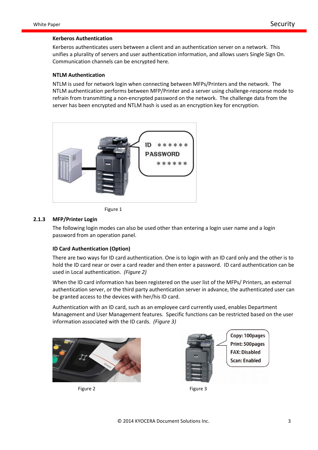#### **Kerberos Authentication**

Kerberos authenticates users between a client and an authentication server on a network. This unifies a plurality of servers and user authentication information, and allows users Single Sign On. Communication channels can be encrypted here.

#### **NTLM Authentication**

NTLM is used for network login when connecting between MFPs/Printers and the network. The NTLM authentication performs between MFP/Printer and a server using challenge-response mode to refrain from transmitting a non-encrypted password on the network. The challenge data from the server has been encrypted and NTLM hash is used as an encryption key for encryption.





#### **2.1.3 MFP/Printer Login**

The following login modes can also be used other than entering a login user name and a login password from an operation panel.

#### **ID Card Authentication (Option)**

There are two ways for ID card authentication. One is to login with an ID card only and the other is to hold the ID card near or over a card reader and then enter a password. ID card authentication can be used in Local authentication. *(Figure 2)*

When the ID card information has been registered on the user list of the MFPs/ Printers, an external authentication server, or the third party authentication server in advance, the authenticated user can be granted access to the devices with her/his ID card.

Authentication with an ID card, such as an employee card currently used, enables Department Management and User Management features. Specific functions can be restricted based on the user information associated with the ID cards. *(Figure 3)*





Figure 2 and 1 and 1 and 1 and 1 and 1 and 1 and 1 and 1 and 1 and 1 and 1 and 1 and 1 and 1 and 1 and 1 and 1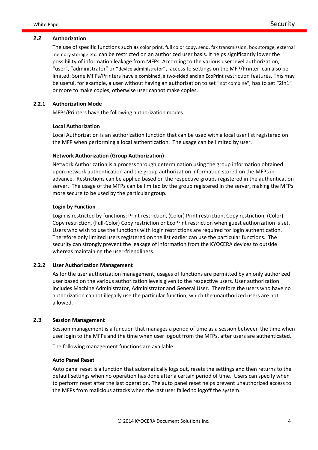#### **2.2 Authorization**

The use of specific functions such as color print, full color copy, send, fax transmission, box storage, external memory storage etc. can be restricted on an authorized user basis. It helps significantly lower the possibility of information leakage from MFPs. According to the various user level authorization, "user", "administrator" or "device administrator", access to settings on the MFP/Printer can also be limited. Some MFPs/Printers have a combined, a two-sided and an EcoPrint restriction features. This may be useful, for example, a user without having an authorization to set "not combine", has to set "2in1" or more to make copies, otherwise user cannot make copies.

#### **2.2.1 Authorization Mode**

MFPs/Printers have the following authorization modes.

## **Local Authorization**

Local Authorization is an authorization function that can be used with a local user list registered on the MFP when performing a local authentication. The usage can be limited by user.

#### **Network Authorization (Group Authorization)**

Network Authorization is a process through determination using the group information obtained upon network authentication and the group authorization information stored on the MFPs in advance. Restrictions can be applied based on the respective groups registered in the authentication server. The usage of the MFPs can be limited by the group registered in the server, making the MFPs more secure to be used by the particular group.

#### **Login by Function**

Login is restricted by functions; Print restriction, (Color) Print restriction, Copy restriction, (Color) Copy restriction, (Full-Color) Copy restriction or EcoPrint restriction when guest authorization is set. Users who wish to use the functions with login restrictions are required for login authentication. Therefore only limited users registered on the list earlier can use the particular functions. The security can strongly prevent the leakage of information from the KYOCERA devices to outside whereas maintaining the user-friendliness.

#### **2.2.2 User Authorization Management**

As for the user authorization management, usages of functions are permitted by an only authorized user based on the various authorization levels given to the respective users. User authorization includes Machine Administrator, Administrator and General User. Therefore the users who have no authorization cannot illegally use the particular function, which the unauthorized users are not allowed.

#### **2.3 Session Management**

Session management is a function that manages a period of time as a session between the time when user login to the MFPs and the time when user logout from the MFPs, after users are authenticated.

The following management functions are available.

#### **Auto Panel Reset**

Auto panel reset is a function that automatically logs out, resets the settings and then returns to the default settings when no operation has done after a certain period of time. Users can specify when to perform reset after the last operation. The auto panel reset helps prevent unauthorized access to the MFPs from malicious attacks when the last user failed to logoff the system.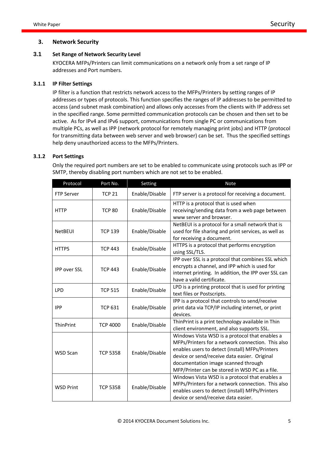# **3. Network Security**

# **3.1 Set Range of Network Security Level**

KYOCERA MFPs/Printers can limit communications on a network only from a set range of IP addresses and Port numbers.

### **3.1.1 IP Filter Settings**

IP filter is a function that restricts network access to the MFPs/Printers by setting ranges of IP addresses or types of protocols. This function specifies the ranges of IP addresses to be permitted to access (and subnet mask combination) and allows only accesses from the clients with IP address set in the specified range. Some permitted communication protocols can be chosen and then set to be active. As for IPv4 and IPv6 support, communications from single PC or communications from multiple PCs, as well as IPP (network protocol for remotely managing print jobs) and HTTP (protocol for transmitting data between web server and web browser) can be set. Thus the specified settings help deny unauthorized access to the MFPs/Printers.

#### **3.1.2 Port Settings**

Only the required port numbers are set to be enabled to communicate using protocols such as IPP or SMTP, thereby disabling port numbers which are not set to be enabled.

| Protocol            | Port No.        | Setting        | <b>Note</b>                                                                                                                                                                                                                                                                                     |
|---------------------|-----------------|----------------|-------------------------------------------------------------------------------------------------------------------------------------------------------------------------------------------------------------------------------------------------------------------------------------------------|
| <b>FTP Server</b>   | <b>TCP 21</b>   | Enable/Disable | FTP server is a protocol for receiving a document.                                                                                                                                                                                                                                              |
| <b>HTTP</b>         | <b>TCP 80</b>   | Enable/Disable | HTTP is a protocol that is used when<br>receiving/sending data from a web page between<br>www server and browser.                                                                                                                                                                               |
| <b>NetBEUI</b>      | <b>TCP 139</b>  | Enable/Disable | NetBEUI is a protocol for a small network that is<br>used for file sharing and print services, as well as<br>for receiving a document.                                                                                                                                                          |
| <b>HTTPS</b>        | <b>TCP 443</b>  | Enable/Disable | HTTPS is a protocol that performs encryption<br>using SSL/TLS.                                                                                                                                                                                                                                  |
| <b>IPP over SSL</b> | <b>TCP 443</b>  | Enable/Disable | IPP over SSL is a protocol that combines SSL which<br>encrypts a channel, and IPP which is used for<br>internet printing. In addition, the IPP over SSL can<br>have a valid certificate.                                                                                                        |
| <b>LPD</b>          | <b>TCP 515</b>  | Enable/Disable | LPD is a printing protocol that is used for printing<br>text files or Postscripts.                                                                                                                                                                                                              |
| <b>IPP</b>          | <b>TCP 631</b>  | Enable/Disable | IPP is a protocol that controls to send/receive<br>print data via TCP/IP including internet, or print<br>devices.                                                                                                                                                                               |
| <b>ThinPrint</b>    | <b>TCP 4000</b> | Enable/Disable | ThinPrint is a print technology available in Thin<br>client environment, and also supports SSL.                                                                                                                                                                                                 |
| WSD Scan            | <b>TCP 5358</b> | Enable/Disable | Windows Vista WSD is a protocol that enables a<br>MFPs/Printers for a network connection. This also<br>enables users to detect (install) MFPs/Printers<br>device or send/receive data easier. Original<br>documentation image scanned through<br>MFP/Printer can be stored in WSD PC as a file. |
| <b>WSD Print</b>    | <b>TCP 5358</b> | Enable/Disable | Windows Vista WSD is a protocol that enables a<br>MFPs/Printers for a network connection. This also<br>enables users to detect (install) MFPs/Printers<br>device or send/receive data easier.                                                                                                   |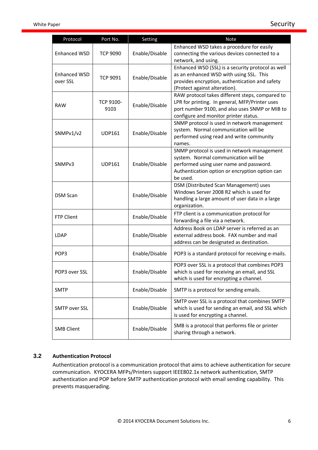| Protocol                        | Port No.          | Setting        | <b>Note</b>                                                                                                                                                                                  |
|---------------------------------|-------------------|----------------|----------------------------------------------------------------------------------------------------------------------------------------------------------------------------------------------|
| <b>Enhanced WSD</b>             | <b>TCP 9090</b>   | Enable/Disable | Enhanced WSD takes a procedure for easily<br>connecting the various devices connected to a<br>network, and using.                                                                            |
| <b>Enhanced WSD</b><br>over SSL | <b>TCP 9091</b>   | Enable/Disable | Enhanced WSD (SSL) is a security protocol as well<br>as an enhanced WSD with using SSL. This<br>provides encryption, authentication and safety<br>(Protect against alteration).              |
| <b>RAW</b>                      | TCP 9100-<br>9103 | Enable/Disable | RAW protocol takes different steps, compared to<br>LPR for printing. In general, MFP/Printer uses<br>port number 9100, and also uses SNMP or MIB to<br>configure and monitor printer status. |
| SNMPv1/v2                       | <b>UDP161</b>     | Enable/Disable | SNMP protocol is used in network management<br>system. Normal communication will be<br>performed using read and write community<br>names.                                                    |
| SNMP <sub>v3</sub>              | <b>UDP161</b>     | Enable/Disable | SNMP protocol is used in network management<br>system. Normal communication will be<br>performed using user name and password.<br>Authentication option or encryption option can<br>be used. |
| <b>DSM Scan</b>                 |                   | Enable/Disable | DSM (Distributed Scan Management) uses<br>Windows Server 2008 R2 which is used for<br>handling a large amount of user data in a large<br>organization.                                       |
| <b>FTP Client</b>               |                   | Enable/Disable | FTP client is a communication protocol for<br>forwarding a file via a network.                                                                                                               |
| <b>LDAP</b>                     |                   | Enable/Disable | Address Book on LDAP server is referred as an<br>external address book. FAX number and mail<br>address can be designated as destination.                                                     |
| POP3                            |                   | Enable/Disable | POP3 is a standard protocol for receiving e-mails.                                                                                                                                           |
| POP3 over SSL                   |                   | Enable/Disable | POP3 over SSL is a protocol that combines POP3<br>which is used for receiving an email, and SSL<br>which is used for encrypting a channel.                                                   |
| <b>SMTP</b>                     |                   | Enable/Disable | SMTP is a protocol for sending emails.                                                                                                                                                       |
| <b>SMTP over SSL</b>            |                   | Enable/Disable | SMTP over SSL is a protocol that combines SMTP<br>which is used for sending an email, and SSL which<br>is used for encrypting a channel.                                                     |
| <b>SMB Client</b>               |                   | Enable/Disable | SMB is a protocol that performs file or printer<br>sharing through a network.                                                                                                                |

# **3.2 Authentication Protocol**

Authentication protocol is a communication protocol that aims to achieve authentication for secure communication. KYOCERA MFPs/Printers support IEEE802.1x network authentication, SMTP authentication and POP before SMTP authentication protocol with email sending capability. This prevents masquerading.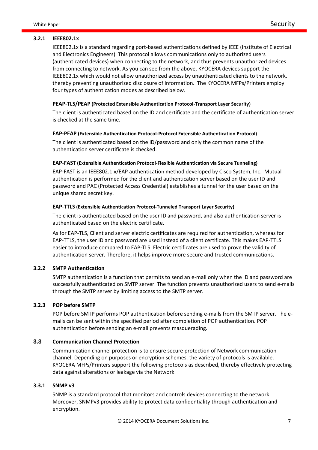IEEE802.1x is a standard regarding port-based authentications defined by IEEE (Institute of Electrical and Electronics Engineers). This protocol allows communications only to authorized users (authenticated devices) when connecting to the network, and thus prevents unauthorized devices from connecting to network. As you can see from the above, KYOCERA devices support the IEEE802.1x which would not allow unauthorized access by unauthenticated clients to the network, thereby preventing unauthorized disclosure of information. The KYOCERA MFPs/Printers employ four types of authentication modes as described below.

#### **PEAP-TLS/PEAP (Protected Extensible Authentication Protocol-Transport Layer Security)**

The client is authenticated based on the ID and certificate and the certificate of authentication server is checked at the same time.

#### **EAP-PEAP (Extensible Authentication Protocol-Protocol Extensible Authentication Protocol)**

The client is authenticated based on the ID/password and only the common name of the authentication server certificate is checked.

#### **EAP-FAST (Extensible Authentication Protocol-Flexible Authentication via Secure Tunneling)**

EAP-FAST is an IEEE802.1.x/EAP authentication method developed by Cisco System, Inc. Mutual authentication is performed for the client and authentication server based on the user ID and password and PAC (Protected Access Credential) establishes a tunnel for the user based on the unique shared secret key.

#### **EAP-TTLS (Extensible Authentication Protocol-Tunneled Transport Layer Security)**

The client is authenticated based on the user ID and password, and also authentication server is authenticated based on the electric certificate.

As for EAP-TLS, Client and server electric certificates are required for authentication, whereas for EAP-TTLS, the user ID and password are used instead of a client certificate. This makes EAP-TTLS easier to introduce compared to EAP-TLS. Electric certificates are used to prove the validity of authentication server. Therefore, it helps improve more secure and trusted communications.

#### **3.2.2 SMTP Authentication**

SMTP authentication is a function that permits to send an e-mail only when the ID and password are successfully authenticated on SMTP server. The function prevents unauthorized users to send e-mails through the SMTP server by limiting access to the SMTP server.

#### **3.2.3 POP before SMTP**

POP before SMTP performs POP authentication before sending e-mails from the SMTP server. The emails can be sent within the specified period after completion of POP authentication. POP authentication before sending an e-mail prevents masquerading.

# **3.3 Communication Channel Protection**

Communication channel protection is to ensure secure protection of Network communication channel. Depending on purposes or encryption schemes, the variety of protocols is available. KYOCERA MFPs/Printers support the following protocols as described, thereby effectively protecting data against alterations or leakage via the Network.

#### **3.3.1 SNMP v3**

SNMP is a standard protocol that monitors and controls devices connecting to the network. Moreover, SNMPv3 provides ability to protect data confidentiality through authentication and encryption.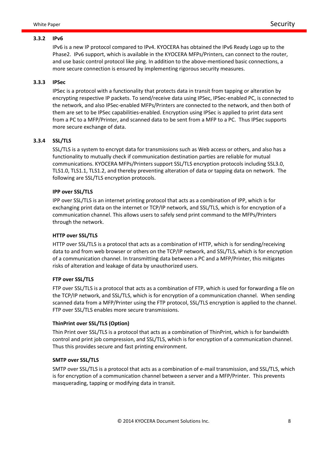#### **3.3.2 IPv6**

IPv6 is a new IP protocol compared to IPv4. KYOCERA has obtained the IPv6 Ready Logo up to the Phase2. IPv6 support, which is available in the KYOCERA MFPs/Printers, can connect to the router, and use basic control protocol like ping. In addition to the above-mentioned basic connections, a more secure connection is ensured by implementing rigorous security measures.

#### **3.3.3 IPSec**

IPSec is a protocol with a functionality that protects data in transit from tapping or alteration by encrypting respective IP packets. To send/receive data using IPSec, IPSec-enabled PC, is connected to the network, and also IPSec-enabled MFPs/Printers are connected to the network, and then both of them are set to be IPSec capabilities-enabled. Encryption using IPSec is applied to print data sent from a PC to a MFP/Printer, and scanned data to be sent from a MFP to a PC. Thus IPSec supports more secure exchange of data.

#### **3.3.4 SSL/TLS**

SSL/TLS is a system to encrypt data for transmissions such as Web access or others, and also has a functionality to mutually check if communication destination parties are reliable for mutual communications. KYOCERA MFPs/Printers support SSL/TLS encryption protocols including SSL3.0, TLS1.0, TLS1.1, TLS1.2, and thereby preventing alteration of data or tapping data on network. The following are SSL/TLS encryption protocols.

#### **IPP over SSL/TLS**

IPP over SSL/TLS is an internet printing protocol that acts as a combination of IPP, which is for exchanging print data on the internet or TCP/IP network, and SSL/TLS, which is for encryption of a communication channel. This allows users to safely send print command to the MFPs/Printers through the network.

#### **HTTP over SSL/TLS**

HTTP over SSL/TLS is a protocol that acts as a combination of HTTP, which is for sending/receiving data to and from web browser or others on the TCP/IP network, and SSL/TLS, which is for encryption of a communication channel. In transmitting data between a PC and a MFP/Printer, this mitigates risks of alteration and leakage of data by unauthorized users.

#### **FTP over SSL/TLS**

FTP over SSL/TLS is a protocol that acts as a combination of FTP, which is used for forwarding a file on the TCP/IP network, and SSL/TLS, which is for encryption of a communication channel. When sending scanned data from a MFP/Printer using the FTP protocol, SSL/TLS encryption is applied to the channel. FTP over SSL/TLS enables more secure transmissions.

#### **ThinPrint over SSL/TLS (Option)**

Thin Print over SSL/TLS is a protocol that acts as a combination of ThinPrint, which is for bandwidth control and print job compression, and SSL/TLS, which is for encryption of a communication channel. Thus this provides secure and fast printing environment.

#### **SMTP over SSL/TLS**

SMTP over SSL/TLS is a protocol that acts as a combination of e-mail transmission, and SSL/TLS, which is for encryption of a communication channel between a server and a MFP/Printer. This prevents masquerading, tapping or modifying data in transit.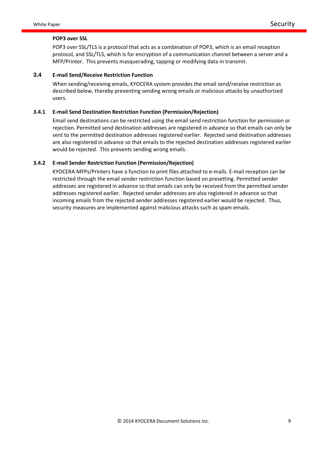#### **POP3 over SSL**

POP3 over SSL/TLS is a protocol that acts as a combination of POP3, which is an email reception protocol, and SSL/TLS, which is for encryption of a communication channel between a server and a MFP/Printer. This prevents masquerading, tapping or modifying data in transmit.

# **3.4 E-mail Send/Receive Restriction Function**

When sending/receiving emails, KYOCERA system provides the email send/receive restriction as described below, thereby preventing sending wrong emails or malicious attacks by unauthorized users.

#### **3.4.1 E-mail Send Destination Restriction Function (Permission/Rejection)**

Email send destinations can be restricted using the email send restriction function for permission or rejection. Permitted send destination addresses are registered in advance so that emails can only be sent to the permitted destination addresses registered earlier. Rejected send destination addresses are also registered in advance so that emails to the rejected destination addresses registered earlier would be rejected. This prevents sending wrong emails.

#### **3.4.2 E-mail Sender Restriction Function (Permission/Rejection)**

KYOCERA MFPs/Printers have a function to print files attached to e-mails. E-mail reception can be restricted through the email sender restriction function based on presetting. Permitted sender addresses are registered in advance so that emails can only be received from the permitted sender addresses registered earlier. Rejected sender addresses are also registered in advance so that incoming emails from the rejected sender addresses registered earlier would be rejected. Thus, security measures are implemented against malicious attacks such as spam emails.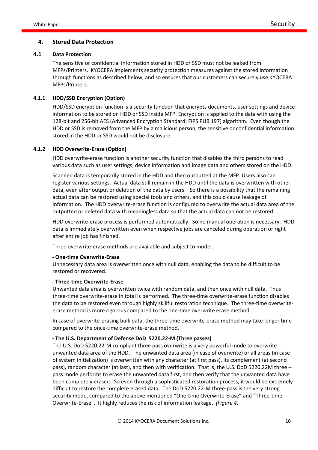#### **4. Stored Data Protection**

#### **4.1 Data Protection**

The sensitive or confidential information stored in HDD or SSD must not be leaked from MFPs/Printers. KYOCERA implements security protection measures against the stored information through functions as described below, and so ensures that our customers can securely use KYOCERA MFPs/Printers.

#### **4.1.1 HDD/SSD Encryption (Option)**

HDD/SSD encryption function is a security function that encrypts documents, user settings and device information to be stored on HDD or SSD inside MFP. Encryption is applied to the data with using the 128-bit and 256-bit AES (Advanced Encryption Standard: FIPS PUB 197) algorithm. Even though the HDD or SSD is removed from the MFP by a malicious person, the sensitive or confidential information stored in the HDD or SSD would not be disclosure.

#### **4.1.2 HDD Overwrite-Erase (Option)**

HDD overwrite-erase function is another security function that disables the third persons to read various data such as user settings, device information and image data and others stored on the HDD.

Scanned data is temporarily stored in the HDD and then outputted at the MFP. Users also can register various settings. Actual data still remain in the HDD until the data is overwritten with other data, even after output or deletion of the data by users. So there is a possibility that the remaining actual data can be restored using special tools and others, and this could cause leakage of information. The HDD overwrite-erase function is configured to overwrite the actual data area of the outputted or deleted data with meaningless data so that the actual data can not be restored.

HDD overwrite-erase process is performed automatically. So no manual operation is necessary. HDD data is immediately overwritten even when respective jobs are canceled during operation or right after entire job has finished.

Three overwrite-erase methods are available and subject to model.

#### **- One-time Overwrite-Erase**

Unnecessary data area is overwritten once with null data, enabling the data to be difficult to be restored or recovered.

#### **- Three-time Overwrite-Erase**

Unwanted data area is overwritten twice with random data, and then once with null data. Thus three-time overwrite-erase in total is performed. The three-time overwrite-erase function disables the data to be restored even through highly skillful restoration technique. The three-time overwriteerase method is more rigorous compared to the one-time overwrite erase method.

In case of overwrite-erasing bulk data, the three-time overwrite-erase method may take longer time compared to the once-time overwrite-erase method.

# **- The U.S. Department of Defense DoD 5220.22-M (Three passes)**

The U.S. DoD 5220.22-M compliant three pass overwrite is a very powerful mode to overwrite unwanted data area of the HDD. The unwanted data area (in case of overwrite) or all areas (in case of system initialization) is overwritten with any character (at first pass), its complement (at second pass), random character (at last), and then with verification. That is, the U.S. DoD 5220.22M three – pass mode performs to erase the unwanted data first, and then verify that the unwanted data have been completely erased. So even through a sophisticated restoration process, it would be extremely difficult to restore the complete erased data. The DoD 5220.22-M three-pass is the very strong security mode, compared to the above mentioned "One-time Overwrite-Erase" and "Three-time Overwrite-Erase". It highly reduces the risk of information leakage. *(Figure 4)*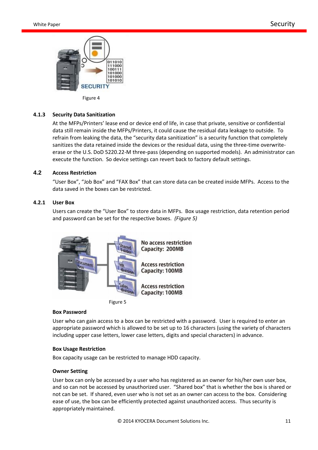

Figure 4

#### **4.1.3 Security Data Sanitization**

At the MFPs/Printers' lease end or device end of life, in case that private, sensitive or confidential data still remain inside the MFPs/Printers, it could cause the residual data leakage to outside. To refrain from leaking the data, the "security data sanitization" is a security function that completely sanitizes the data retained inside the devices or the residual data, using the three-time overwriteerase or the U.S. DoD 5220.22-M three-pass (depending on supported models). An administrator can execute the function. So device settings can revert back to factory default settings.

#### **4.2 Access Restriction**

"User Box", "Job Box" and "FAX Box" that can store data can be created inside MFPs. Access to the data saved in the boxes can be restricted.

#### **4.2.1 User Box**

Users can create the "User Box" to store data in MFPs. Box usage restriction, data retention period and password can be set for the respective boxes. *(Figure 5)*





#### **Box Password**

User who can gain access to a box can be restricted with a password. User is required to enter an appropriate password which is allowed to be set up to 16 characters (using the variety of characters including upper case letters, lower case letters, digits and special characters) in advance.

#### **Box Usage Restriction**

Box capacity usage can be restricted to manage HDD capacity.

#### **Owner Setting**

User box can only be accessed by a user who has registered as an owner for his/her own user box, and so can not be accessed by unauthorized user. "Shared box" that is whether the box is shared or not can be set. If shared, even user who is not set as an owner can access to the box. Considering ease of use, the box can be efficiently protected against unauthorized access. Thus security is appropriately maintained.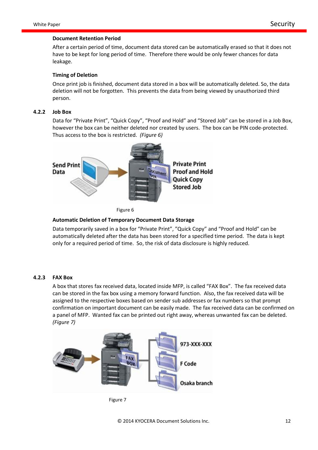#### **Document Retention Period**

After a certain period of time, document data stored can be automatically erased so that it does not have to be kept for long period of time. Therefore there would be only fewer chances for data leakage.

#### **Timing of Deletion**

Once print job is finished, document data stored in a box will be automatically deleted. So, the data deletion will not be forgotten. This prevents the data from being viewed by unauthorized third person.

#### **4.2.2 Job Box**

Data for "Private Print", "Quick Copy", "Proof and Hold" and "Stored Job" can be stored in a Job Box, however the box can be neither deleted nor created by users. The box can be PIN code-protected. Thus access to the box is restricted. *(Figure 6)*



Figure 6

#### **Automatic Deletion of Temporary Document Data Storage**

Data temporarily saved in a box for "Private Print", "Quick Copy" and "Proof and Hold" can be automatically deleted after the data has been stored for a specified time period. The data is kept only for a required period of time. So, the risk of data disclosure is highly reduced.

#### **4.2.3 FAX Box**

A box that stores fax received data, located inside MFP, is called "FAX Box". The fax received data can be stored in the fax box using a memory forward function. Also, the fax received data will be assigned to the respective boxes based on sender sub addresses or fax numbers so that prompt confirmation on important document can be easily made. The fax received data can be confirmed on a panel of MFP. Wanted fax can be printed out right away, whereas unwanted fax can be deleted. *(Figure 7)*

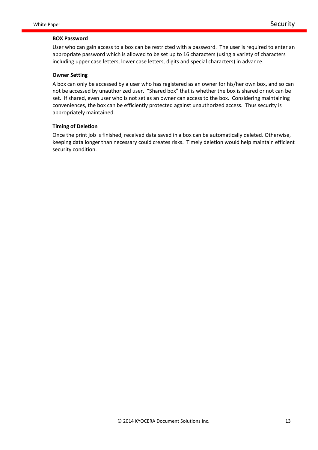#### **BOX Password**

User who can gain access to a box can be restricted with a password. The user is required to enter an appropriate password which is allowed to be set up to 16 characters (using a variety of characters including upper case letters, lower case letters, digits and special characters) in advance.

#### **Owner Setting**

A box can only be accessed by a user who has registered as an owner for his/her own box, and so can not be accessed by unauthorized user. "Shared box" that is whether the box is shared or not can be set. If shared, even user who is not set as an owner can access to the box. Considering maintaining conveniences, the box can be efficiently protected against unauthorized access. Thus security is appropriately maintained.

#### **Timing of Deletion**

Once the print job is finished, received data saved in a box can be automatically deleted. Otherwise, keeping data longer than necessary could creates risks. Timely deletion would help maintain efficient security condition.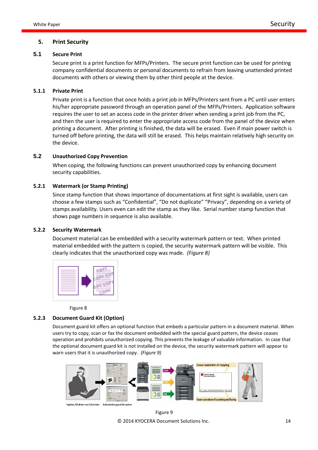#### **5. Print Security**

#### **5.1 Secure Print**

Secure print is a print function for MFPs/Printers. The secure print function can be used for printing company confidential documents or personal documents to refrain from leaving unattended printed documents with others or viewing them by other third people at the device.

#### **5.1.1 Private Print**

Private print is a function that once holds a print job in MFPs/Printers sent from a PC until user enters his/her appropriate password through an operation panel of the MFPs/Printers. Application software requires the user to set an access code in the printer driver when sending a print job from the PC, and then the user is required to enter the appropriate access code from the panel of the device when printing a document. After printing is finished, the data will be erased. Even if main power switch is turned off before printing, the data will still be erased. This helps maintain relatively high security on the device.

### **5.2 Unauthorized Copy Prevention**

When coping, the following functions can prevent unauthorized copy by enhancing document security capabilities.

#### **5.2.1 Watermark (or Stamp Printing)**

Since stamp function that shows importance of documentations at first sight is available, users can choose a few stamps such as "Confidential", "Do not duplicate" "Privacy", depending on a variety of stamps availability. Users even can edit the stamp as they like. Serial number stamp function that shows page numbers in sequence is also available.

#### **5.2.2 Security Watermark**

Document material can be embedded with a security watermark pattern or text. When printed material embedded with the pattern is copied, the security watermark pattern will be visible. This clearly indicates that the unauthorized copy was made. *(Figure 8)*



Figure 8

#### **5.2.3 Document Guard Kit (Option)**

Document guard kit offers an optional function that embeds a particular pattern in a document material. When users try to copy, scan or fax the document embedded with the special guard pattern, the device ceases operation and prohibits unauthorized copying. This prevents the leakage of valuable information. In case that the optional document guard kit is not installed on the device, the security watermark pattern will appear to warn users that it is unauthorized copy. *(Figure 9)*



er.5.0 or later Activate the quard kit opt

© 2014 KYOCERA Document Solutions Inc. 14 Figure 9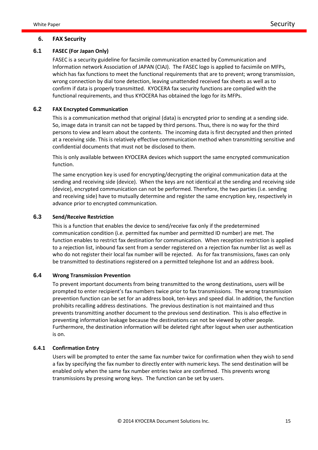#### **6. FAX Security**

# **6.1 FASEC (For Japan Only)**

FASEC is a security guideline for facsimile communication enacted by Communication and Information network Association of JAPAN (CIAJ). The FASEC logo is applied to facsimile on MFPs, which has fax functions to meet the functional requirements that are to prevent; wrong transmission, wrong connection by dial tone detection, leaving unattended received fax sheets as well as to confirm if data is properly transmitted. KYOCERA fax security functions are complied with the functional requirements, and thus KYOCERA has obtained the logo for its MFPs.

#### **6.2 FAX Encrypted Communication**

This is a communication method that original (data) is encrypted prior to sending at a sending side. So, image data in transit can not be tapped by third persons. Thus, there is no way for the third persons to view and learn about the contents. The incoming data is first decrypted and then printed at a receiving side. This is relatively effective communication method when transmitting sensitive and confidential documents that must not be disclosed to them.

This is only available between KYOCERA devices which support the same encrypted communication function.

The same encryption key is used for encrypting/decrypting the original communication data at the sending and receiving side (device). When the keys are not identical at the sending and receiving side (device), encrypted communication can not be performed. Therefore, the two parties (i.e. sending and receiving side) have to mutually determine and register the same encryption key, respectively in advance prior to encrypted communication.

# **6.3 Send/Receive Restriction**

This is a function that enables the device to send/receive fax only if the predetermined communication condition (i.e. permitted fax number and permitted ID number) are met. The function enables to restrict fax destination for communication. When reception restriction is applied to a rejection list, inbound fax sent from a sender registered on a rejection fax number list as well as who do not register their local fax number will be rejected. As for fax transmissions, faxes can only be transmitted to destinations registered on a permitted telephone list and an address book.

#### **6.4 Wrong Transmission Prevention**

To prevent important documents from being transmitted to the wrong destinations, users will be prompted to enter recipient's fax numbers twice prior to fax transmissions. The wrong transmission prevention function can be set for an address book, ten-keys and speed dial. In addition, the function prohibits recalling address destinations. The previous destination is not maintained and thus prevents transmitting another document to the previous send destination. This is also effective in preventing information leakage because the destinations can not be viewed by other people. Furthermore, the destination information will be deleted right after logout when user authentication is on.

#### **6.4.1 Confirmation Entry**

Users will be prompted to enter the same fax number twice for confirmation when they wish to send a fax by specifying the fax number to directly enter with numeric keys. The send destination will be enabled only when the same fax number entries twice are confirmed. This prevents wrong transmissions by pressing wrong keys. The function can be set by users.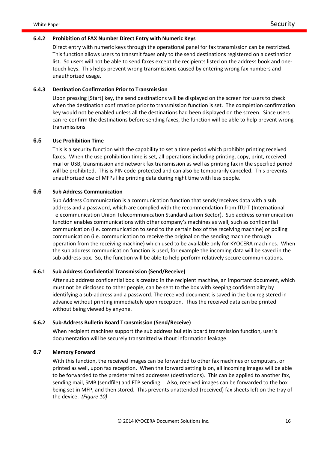#### **6.4.2 Prohibition of FAX Number Direct Entry with Numeric Keys**

Direct entry with numeric keys through the operational panel for fax transmission can be restricted. This function allows users to transmit faxes only to the send destinations registered on a destination list. So users will not be able to send faxes except the recipients listed on the address book and onetouch keys. This helps prevent wrong transmissions caused by entering wrong fax numbers and unauthorized usage.

#### **6.4.3 Destination Confirmation Prior to Transmission**

Upon pressing [Start] key, the send destinations will be displayed on the screen for users to check when the destination confirmation prior to transmission function is set. The completion confirmation key would not be enabled unless all the destinations had been displayed on the screen. Since users can re-confirm the destinations before sending faxes, the function will be able to help prevent wrong transmissions.

#### **6.5 Use Prohibition Time**

This is a security function with the capability to set a time period which prohibits printing received faxes. When the use prohibition time is set, all operations including printing, copy, print, received mail or USB, transmission and network fax transmission as well as printing fax in the specified period will be prohibited. This is PIN code-protected and can also be temporarily canceled. This prevents unauthorized use of MFPs like printing data during night time with less people.

### **6.6 Sub Address Communication**

Sub Address Communication is a communication function that sends/receives data with a sub address and a password, which are complied with the recommendation from ITU-T (International Telecommunication Union Telecommunication Standardization Sector). Sub address communication function enables communications with other company's machines as well, such as confidential communication (i.e. communication to send to the certain box of the receiving machine) or polling communication (i.e. communication to receive the original on the sending machine through operation from the receiving machine) which used to be available only for KYOCERA machines. When the sub address communication function is used, for example the incoming data will be saved in the sub address box. So, the function will be able to help perform relatively secure communications.

#### **6.6.1 Sub Address Confidential Transmission (Send/Receive)**

After sub address confidential box is created in the recipient machine, an important document, which must not be disclosed to other people, can be sent to the box with keeping confidentiality by identifying a sub-address and a password. The received document is saved in the box registered in advance without printing immediately upon reception. Thus the received data can be printed without being viewed by anyone.

#### **6.6.2 Sub-Address Bulletin Board Transmission (Send/Receive)**

When recipient machines support the sub address bulletin board transmission function, user's documentation will be securely transmitted without information leakage.

#### **6.7 Memory Forward**

With this function, the received images can be forwarded to other fax machines or computers, or printed as well, upon fax reception. When the forward setting is on, all incoming images will be able to be forwarded to the predetermined addresses (destinations). This can be applied to another fax, sending mail, SMB (sendfile) and FTP sending. Also, received images can be forwarded to the box being set in MFP, and then stored. This prevents unattended (received) fax sheets left on the tray of the device. *(Figure 10)*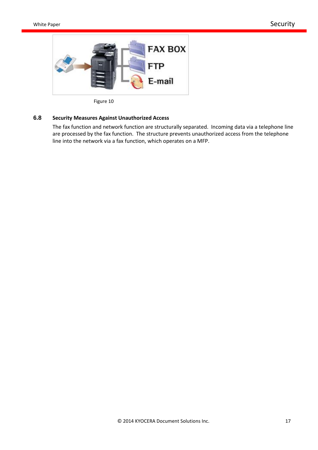

Figure 10

# **6.8 Security Measures Against Unauthorized Access**

The fax function and network function are structurally separated. Incoming data via a telephone line are processed by the fax function. The structure prevents unauthorized access from the telephone line into the network via a fax function, which operates on a MFP.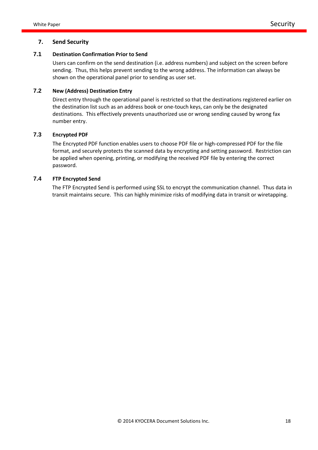# **7. Send Security**

# **7.1 Destination Confirmation Prior to Send**

Users can confirm on the send destination (i.e. address numbers) and subject on the screen before sending. Thus, this helps prevent sending to the wrong address. The information can always be shown on the operational panel prior to sending as user set.

# **7.2 New (Address) Destination Entry**

Direct entry through the operational panel is restricted so that the destinations registered earlier on the destination list such as an address book or one-touch keys, can only be the designated destinations. This effectively prevents unauthorized use or wrong sending caused by wrong fax number entry.

# **7.3 Encrypted PDF**

The Encrypted PDF function enables users to choose PDF file or high-compressed PDF for the file format, and securely protects the scanned data by encrypting and setting password. Restriction can be applied when opening, printing, or modifying the received PDF file by entering the correct password.

# **7.4 FTP Encrypted Send**

The FTP Encrypted Send is performed using SSL to encrypt the communication channel. Thus data in transit maintains secure. This can highly minimize risks of modifying data in transit or wiretapping.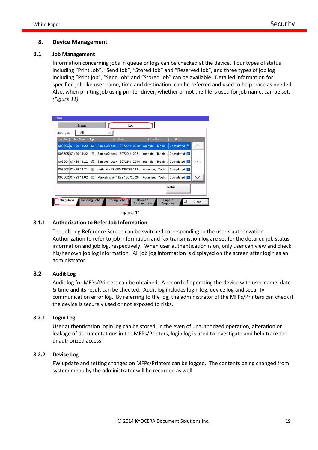#### **8. Device Management**

#### **8.1 Job Management**

Information concerning jobs in queue or logs can be checked at the device. Four types of status including "Print Job", "Send Job", "Stored Job" and "Reserved Job", and three types of job log including "Print job", "Send Job" and "Stored Job" can be available. Detailed information for specified job like user name, time and destination, can be referred and used to help trace as needed. Also, when printing job using printer driver, whether or not the file is used for job name, can be set. *(Figure 11)*

| Job Type | All                |                  | ∀                                                    |                              |                     |      |
|----------|--------------------|------------------|------------------------------------------------------|------------------------------|---------------------|------|
| Job No.  | <b>End Date</b>    | Type <sup></sup> | <b>Job Name</b>                                      | <b>User Name</b>             | <b>Result</b>       |      |
|          | 003606 07/29 11:22 | €                | Sample3.docx 130729 112059                           | Yoshida, Toshin              | Completed ok        |      |
|          | 003605 07/29 11:22 | ◈                | Sample2.docx 130729 112051                           | Yoshida, Toshin Completed ox |                     |      |
|          | 003604 07/29 11:22 | ۳                | Sample1.docx 130729 112044                           | Yoshida, Toshin Completed ox |                     | 1/20 |
|          | 003603 07/29 11:21 | ◈                | outbind://8-000 130729 111 Kuramae, Yosh             |                              | Completed <b>OK</b> |      |
|          | 003602 07/29 11:02 | ◈                | MarketingWP Dra 130726 20 Kuramae, Yosh Completed ox |                              |                     |      |
|          |                    |                  |                                                      |                              | Detail              |      |

Figure 11

#### **8.1.1 Authorization to Refer Job Information**

The Job Log Reference Screen can be switched corresponding to the user's authorization. Authorization to refer to job information and fax transmission log are set for the detailed job status information and job log, respectively. When user authentication is on, only user can view and check his/her own job log information. All job jog information is displayed on the screen after login as an administrator.

# **8.2 Audit Log**

Audit log for MFPs/Printers can be obtained. A record of operating the device with user name, date & time and its result can be checked. Audit log includes login log, device log and security communication error log. By referring to the log, the administrator of the MFPs/Printers can check if the device is securely used or not exposed to risks.

#### **8.2.1 Login Log**

User authentication login log can be stored. In the even of unauthorized operation, alteration or leakage of documentations in the MFPs/Printers, login log is used to investigate and help trace the unauthorized access.

#### **8.2.2 Device Log**

FW update and setting changes on MFPs/Printers can be logged. The contents being changed from system menu by the administrator will be recorded as well.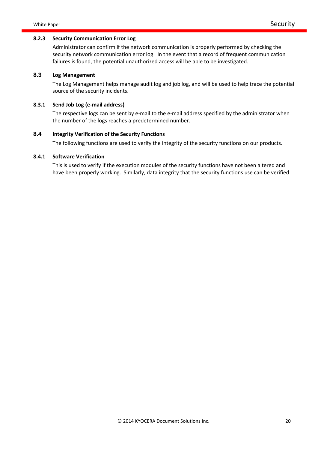#### **8.2.3 Security Communication Error Log**

Administrator can confirm if the network communication is properly performed by checking the security network communication error log. In the event that a record of frequent communication failures is found, the potential unauthorized access will be able to be investigated.

# **8.3 Log Management**

The Log Management helps manage audit log and job log, and will be used to help trace the potential source of the security incidents.

# **8.3.1 Send Job Log (e-mail address)**

The respective logs can be sent by e-mail to the e-mail address specified by the administrator when the number of the logs reaches a predetermined number.

# **8.4 Integrity Verification of the Security Functions**

The following functions are used to verify the integrity of the security functions on our products.

#### **8.4.1 Software Verification**

This is used to verify if the execution modules of the security functions have not been altered and have been properly working. Similarly, data integrity that the security functions use can be verified.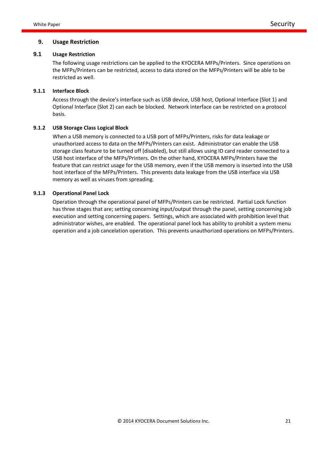#### **9. Usage Restriction**

#### **9.1 Usage Restriction**

The following usage restrictions can be applied to the KYOCERA MFPs/Printers. Since operations on the MFPs/Printers can be restricted, access to data stored on the MFPs/Printers will be able to be restricted as well.

#### **9.1.1 Interface Block**

Access through the device's interface such as USB device, USB host, Optional Interface (Slot 1) and Optional Interface (Slot 2) can each be blocked. Network interface can be restricted on a protocol basis.

#### **9.1.2 USB Storage Class Logical Block**

When a USB memory is connected to a USB port of MFPs/Printers, risks for data leakage or unauthorized access to data on the MFPs/Printers can exist. Administrator can enable the USB storage class feature to be turned off (disabled), but still allows using ID card reader connected to a USB host interface of the MFPs/Printers. On the other hand, KYOCERA MFPs/Printers have the feature that can restrict usage for the USB memory, even if the USB memory is inserted into the USB host interface of the MFPs/Printers. This prevents data leakage from the USB interface via USB memory as well as viruses from spreading.

#### **9.1.3 Operational Panel Lock**

Operation through the operational panel of MFPs/Printers can be restricted. Partial Lock function has three stages that are; setting concerning input/output through the panel, setting concerning job execution and setting concerning papers. Settings, which are associated with prohibition level that administrator wishes, are enabled. The operational panel lock has ability to prohibit a system menu operation and a job cancelation operation. This prevents unauthorized operations on MFPs/Printers.